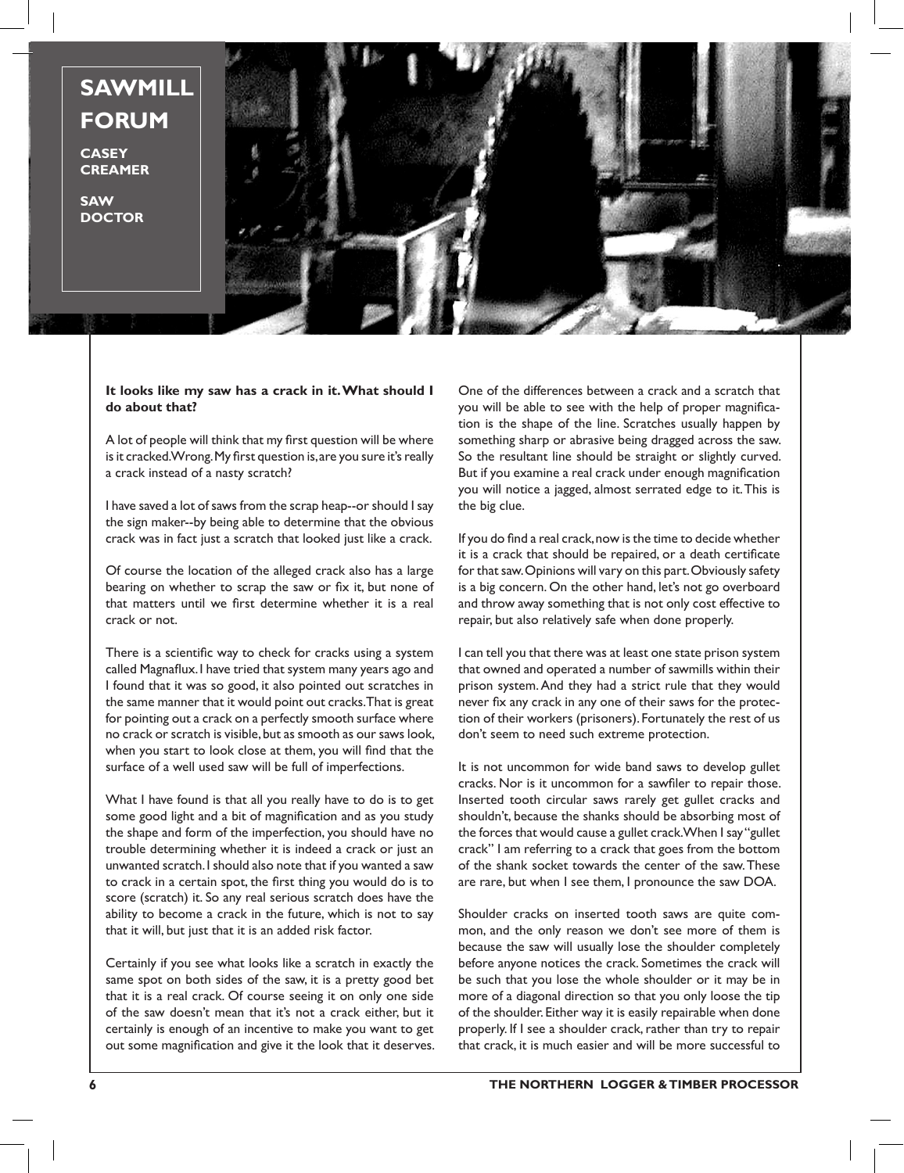

## **It looks like my saw has a crack in it. What should I do about that?**

A lot of people will think that my first question will be where is it cracked. Wrong. My first question is, are you sure it's really a crack instead of a nasty scratch?

I have saved a lot of saws from the scrap heap--or should I say the sign maker--by being able to determine that the obvious crack was in fact just a scratch that looked just like a crack.

Of course the location of the alleged crack also has a large bearing on whether to scrap the saw or fix it, but none of that matters until we first determine whether it is a real crack or not.

There is a scientific way to check for cracks using a system called Magnaflux. I have tried that system many years ago and I found that it was so good, it also pointed out scratches in the same manner that it would point out cracks. That is great for pointing out a crack on a perfectly smooth surface where no crack or scratch is visible, but as smooth as our saws look, when you start to look close at them, you will find that the surface of a well used saw will be full of imperfections.

What I have found is that all you really have to do is to get some good light and a bit of magnification and as you study the shape and form of the imperfection, you should have no trouble determining whether it is indeed a crack or just an unwanted scratch. I should also note that if you wanted a saw to crack in a certain spot, the first thing you would do is to score (scratch) it. So any real serious scratch does have the ability to become a crack in the future, which is not to say that it will, but just that it is an added risk factor.

Certainly if you see what looks like a scratch in exactly the same spot on both sides of the saw, it is a pretty good bet that it is a real crack. Of course seeing it on only one side of the saw doesn't mean that it's not a crack either, but it certainly is enough of an incentive to make you want to get out some magnification and give it the look that it deserves. One of the differences between a crack and a scratch that you will be able to see with the help of proper magnification is the shape of the line. Scratches usually happen by something sharp or abrasive being dragged across the saw. So the resultant line should be straight or slightly curved. But if you examine a real crack under enough magnification you will notice a jagged, almost serrated edge to it. This is the big clue.

If you do find a real crack, now is the time to decide whether it is a crack that should be repaired, or a death certificate for that saw. Opinions will vary on this part. Obviously safety is a big concern. On the other hand, let's not go overboard and throw away something that is not only cost effective to repair, but also relatively safe when done properly.

I can tell you that there was at least one state prison system that owned and operated a number of sawmills within their prison system. And they had a strict rule that they would never fix any crack in any one of their saws for the protection of their workers (prisoners). Fortunately the rest of us don't seem to need such extreme protection.

It is not uncommon for wide band saws to develop gullet cracks. Nor is it uncommon for a sawfiler to repair those. Inserted tooth circular saws rarely get gullet cracks and shouldn't, because the shanks should be absorbing most of the forces that would cause a gullet crack. When I say "gullet crack" I am referring to a crack that goes from the bottom of the shank socket towards the center of the saw. These are rare, but when I see them, I pronounce the saw DOA.

Shoulder cracks on inserted tooth saws are quite common, and the only reason we don't see more of them is because the saw will usually lose the shoulder completely before anyone notices the crack. Sometimes the crack will be such that you lose the whole shoulder or it may be in more of a diagonal direction so that you only loose the tip of the shoulder. Either way it is easily repairable when done properly. If I see a shoulder crack, rather than try to repair that crack, it is much easier and will be more successful to